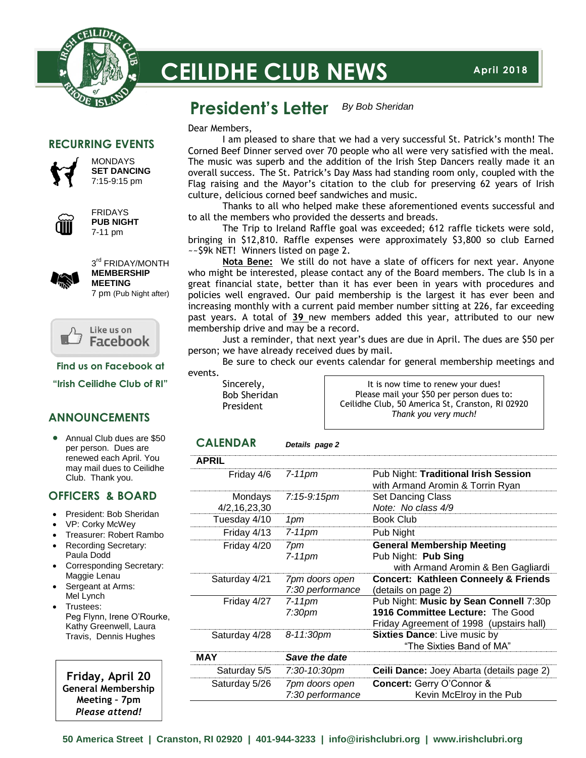

# **CEILIDHE CLUB NEWS**

#### **President's Letter** *By Bob Sheridan*

**RECURRING EVENTS**



**MONDAYS SET DANCING** 7:15-9:15 pm



FRIDAYS **PUB NIGHT** 7-11 pm



3<sup>rd</sup> FRIDAY/MONTH **MEMBERSHIP MEETING**

7 pm (Pub Night after)



**Find us on Facebook at**

**"Irish Ceilidhe Club of RI"**

#### **ANNOUNCEMENTS**

• Annual Club dues are \$50 per person. Dues are renewed each April. You may mail dues to Ceilidhe Club. Thank you.

#### **OFFICERS & BOARD**

- President: Bob Sheridan
- VP: Corky McWey
- Treasurer: Robert Rambo
- Recording Secretary: Paula Dodd
- Corresponding Secretary: Maggie Lenau
- Sergeant at Arms: Mel Lynch
- Trustees: Peg Flynn, Irene O'Rourke, Kathy Greenwell, Laura Travis, Dennis Hughes

**Friday, April 20 General Membership Meeting – 7pm** *Please attend!*

Dear Members,

I am pleased to share that we had a very successful St. Patrick's month! The Corned Beef Dinner served over 70 people who all were very satisfied with the meal. The music was superb and the addition of the Irish Step Dancers really made it an overall success. The St. Patrick's Day Mass had standing room only, coupled with the Flag raising and the Mayor's citation to the club for preserving 62 years of Irish culture, delicious corned beef sandwiches and music.

Thanks to all who helped make these aforementioned events successful and to all the members who provided the desserts and breads.

The Trip to Ireland Raffle goal was exceeded; 612 raffle tickets were sold, bringing in \$12,810. Raffle expenses were approximately \$3,800 so club Earned ~~\$9k NET! Winners listed on page 2.

**Nota Bene:** We still do not have a slate of officers for next year. Anyone who might be interested, please contact any of the Board members. The club Is in a great financial state, better than it has ever been in years with procedures and policies well engraved. Our paid membership is the largest it has ever been and increasing monthly with a current paid member number sitting at 226, far exceeding past years. A total of **39** new members added this year, attributed to our new membership drive and may be a record.

Just a reminder, that next year's dues are due in April. The dues are \$50 per person; we have already received dues by mail.

Be sure to check our events calendar for general membership meetings and events.

Sincerely, Bob Sheridan President

It is now time to renew your dues! Please mail your \$50 per person dues to: Ceilidhe Club, 50 America St, Cranston, RI 02920 *Thank you very much!*

#### **CALENDAR** *Details page 2*

| <b>APRIL</b>            |                                    |                                                                                                                        |
|-------------------------|------------------------------------|------------------------------------------------------------------------------------------------------------------------|
| Friday 4/6              | $7-11$ pm                          | Pub Night: Traditional Irish Session<br>with Armand Aromin & Torrin Ryan                                               |
| Mondays<br>4/2,16,23,30 | 7:15-9:15pm                        | <b>Set Dancing Class</b><br>Note: No class 4/9                                                                         |
| Tuesday 4/10            | 1pm                                | <b>Book Club</b>                                                                                                       |
| Friday 4/13             | 7-11pm                             | Pub Night                                                                                                              |
| Friday 4/20             | 7pm<br>7-11pm                      | <b>General Membership Meeting</b><br>Pub Night: Pub Sing<br>with Armand Aromin & Ben Gagliardi                         |
| Saturday 4/21           | 7pm doors open<br>7:30 performance | <b>Concert: Kathleen Conneely &amp; Friends</b><br>(details on page 2)                                                 |
| Friday 4/27             | $7-11$ pm<br>7:30pm                | Pub Night: Music by Sean Connell 7:30p<br>1916 Committee Lecture: The Good<br>Friday Agreement of 1998 (upstairs hall) |
| Saturday 4/28           | 8-11:30pm                          | <b>Sixties Dance:</b> Live music by<br>"The Sixties Band of MA"                                                        |
| <b>MAY</b>              | Save the date                      |                                                                                                                        |
| Saturday 5/5            | 7:30-10:30pm                       | Ceili Dance: Joey Abarta (details page 2)                                                                              |
| Saturday 5/26           | 7pm doors open<br>7:30 performance | Concert: Gerry O'Connor &<br>Kevin McElroy in the Pub                                                                  |